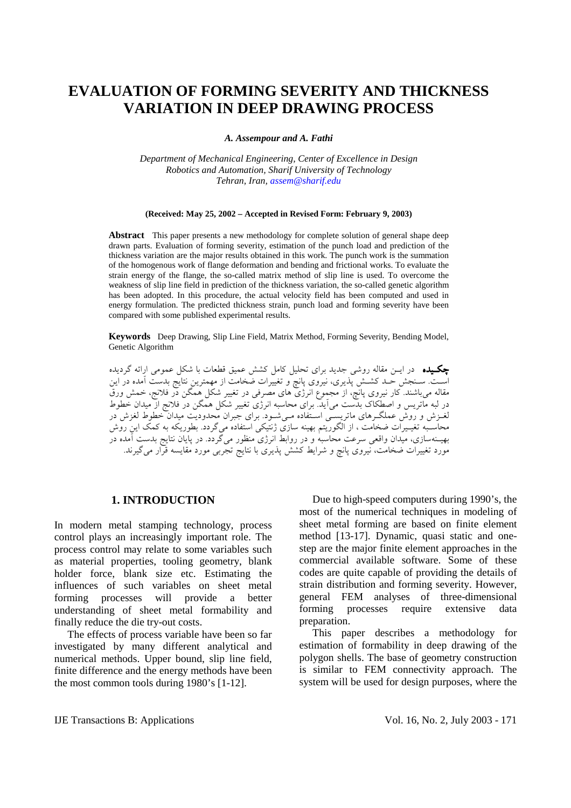# **EVALUATION OF FORMING SEVERITY AND THICKNESS VARIATION IN DEEP DRAWING PROCESS**

*A. Assempour and A. Fathi* 

*Department of Mechanical Engineering, Center of Excellence in Design Robotics and Automation, Sharif University of Technology Tehran, Iran, assem@sharif.edu*

#### **(Received: May 25, 2002 – Accepted in Revised Form: February 9, 2003)**

**Abstract** This paper presents a new methodology for complete solution of general shape deep drawn parts. Evaluation of forming severity, estimation of the punch load and prediction of the thickness variation are the major results obtained in this work. The punch work is the summation of the homogenous work of flange deformation and bending and frictional works. To evaluate the strain energy of the flange, the so-called matrix method of slip line is used. To overcome the weakness of slip line field in prediction of the thickness variation, the so-called genetic algorithm has been adopted. In this procedure, the actual velocity field has been computed and used in energy formulation. The predicted thickness strain, punch load and forming severity have been compared with some published experimental results.

**Keywords** Deep Drawing, Slip Line Field, Matrix Method, Forming Severity, Bending Model, Genetic Algorithm

چكـيده در ايـن مقاله روشي جديد براي تحليل كامل كشش عميق قطعات با شكل عمومي ارائه گرديده اسـت. سـنجش حـد كشـش پذيري، نيروي پانچ و تغييرات ضخامت از مهمترين نتايج بدست آمده در اين مقاله ميباشند. كار نيروي پانچ، از مجموع انرژي هاي مصرفي در تغيير شكل همگن در فلانج، خمش ورق در لبه ماتريس و اصطكاك بدست ميآيد. براي محاسبه انرژي تغيير شكل همگن در فلانج از ميدان خطوط لغـزش و روش عملگـرهاي ماتريسـي اسـتفاده مـيشـود. براي جبران محدوديت ميدان خطوط لغزش در محاسـبه تغيـيرات ضخامت ، از الگوريتم بهينه سازي ژنتيكي استفاده ميگردد. بطوريكه به كمك اين روش بهيـنهسازي، ميدان واقعي سرعت محاسبه و در روابط انرژي منظور ميگردد. در پايان نتايج بدست آمده در مورد تغييرات ضخامت، نيروي پانچ و شرايط كشش پذيري با نتايج تجربي مورد مقايسه قرار ميگيرند.

## **1. INTRODUCTION**

In modern metal stamping technology, process control plays an increasingly important role. The process control may relate to some variables such as material properties, tooling geometry, blank holder force, blank size etc. Estimating the influences of such variables on sheet metal forming processes will provide a better understanding of sheet metal formability and finally reduce the die try-out costs.

 The effects of process variable have been so far investigated by many different analytical and numerical methods. Upper bound, slip line field, finite difference and the energy methods have been the most common tools during 1980's [1-12].

 Due to high-speed computers during 1990's, the most of the numerical techniques in modeling of sheet metal forming are based on finite element method [13-17]. Dynamic, quasi static and onestep are the major finite element approaches in the commercial available software. Some of these codes are quite capable of providing the details of strain distribution and forming severity. However, general FEM analyses of three-dimensional forming processes require extensive data preparation.

 This paper describes a methodology for estimation of formability in deep drawing of the polygon shells. The base of geometry construction is similar to FEM connectivity approach. The system will be used for design purposes, where the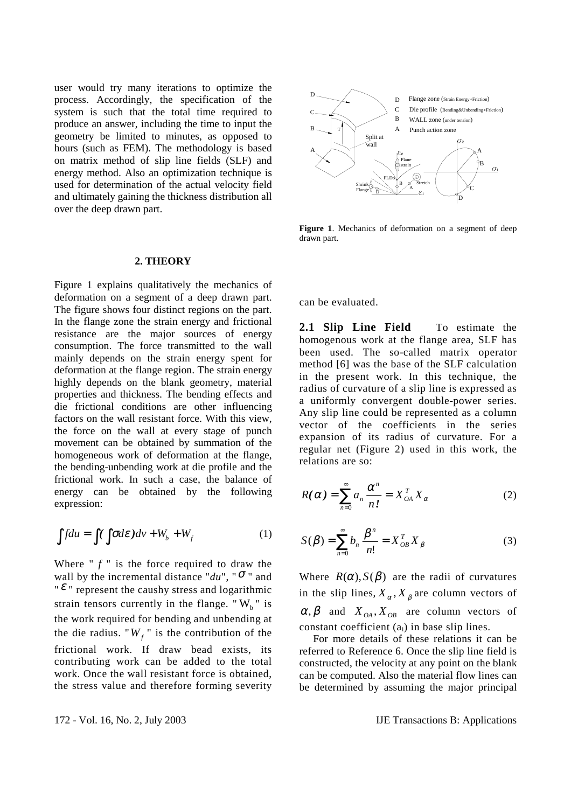user would try many iterations to optimize the process. Accordingly, the specification of the system is such that the total time required to produce an answer, including the time to input the geometry be limited to minutes, as opposed to hours (such as FEM). The methodology is based on matrix method of slip line fields (SLF) and energy method. Also an optimization technique is used for determination of the actual velocity field and ultimately gaining the thickness distribution all over the deep drawn part.

#### **2. THEORY**

Figure 1 explains qualitatively the mechanics of deformation on a segment of a deep drawn part. The figure shows four distinct regions on the part. In the flange zone the strain energy and frictional resistance are the major sources of energy consumption. The force transmitted to the wall mainly depends on the strain energy spent for deformation at the flange region. The strain energy highly depends on the blank geometry, material properties and thickness. The bending effects and die frictional conditions are other influencing factors on the wall resistant force. With this view, the force on the wall at every stage of punch movement can be obtained by summation of the homogeneous work of deformation at the flange, the bending-unbending work at die profile and the frictional work. In such a case, the balance of energy can be obtained by the following expression:

$$
\int f du = \int (\int \sigma d\varepsilon) dv + W_b + W_f \tag{1}
$$

Where  $\int f''$  is the force required to draw the wall by the incremental distance " $du$ ", " $\sigma$ " and " $\varepsilon$ " represent the caushy stress and logarithmic strain tensors currently in the flange. " $W<sub>b</sub>$ " is the work required for bending and unbending at the die radius. " $W_f$ " is the contribution of the frictional work. If draw bead exists, its contributing work can be added to the total work. Once the wall resistant force is obtained, the stress value and therefore forming severity



**Figure 1**. Mechanics of deformation on a segment of deep drawn part.

can be evaluated.

**2.1 Slip Line Field** To estimate the homogenous work at the flange area, SLF has been used. The so-called matrix operator method [6] was the base of the SLF calculation in the present work. In this technique, the radius of curvature of a slip line is expressed as a uniformly convergent double-power series. Any slip line could be represented as a column vector of the coefficients in the series expansion of its radius of curvature. For a regular net (Figure 2) used in this work, the relations are so:

$$
R(\alpha) = \sum_{n=0}^{\infty} a_n \frac{\alpha^n}{n!} = X_{OA}^T X_{\alpha}
$$
 (2)

$$
S(\beta) = \sum_{n=0}^{\infty} b_n \frac{\beta^n}{n!} = X_{OB}^T X_{\beta}
$$
 (3)

Where  $R(\alpha)$ ,  $S(\beta)$  are the radii of curvatures in the slip lines,  $X_{\alpha}$ ,  $X_{\beta}$  are column vectors of  $\alpha, \beta$  and  $X_{OA}$ ,  $X_{OB}$  are column vectors of constant coefficient  $(a_i)$  in base slip lines.

 For more details of these relations it can be referred to Reference 6. Once the slip line field is constructed, the velocity at any point on the blank can be computed. Also the material flow lines can be determined by assuming the major principal

172 - Vol. 16, No. 2, July 2003 IJE Transactions B: Applications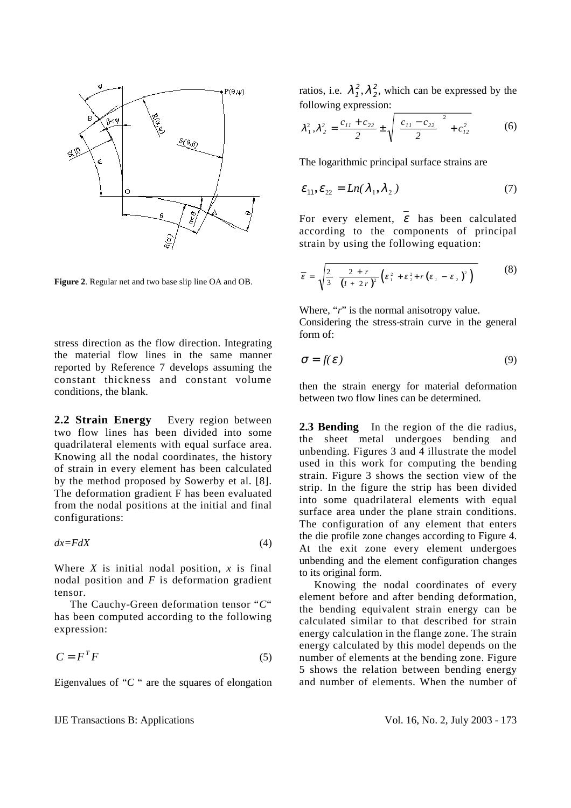

**Figure 2**. Regular net and two base slip line OA and OB.

stress direction as the flow direction. Integrating the material flow lines in the same manner reported by Reference 7 develops assuming the constant thickness and constant volume conditions, the blank.

**2.2 Strain Energy** Every region between two flow lines has been divided into some quadrilateral elements with equal surface area. Knowing all the nodal coordinates, the history of strain in every element has been calculated by the method proposed by Sowerby et al. [8]. The deformation gradient F has been evaluated from the nodal positions at the initial and final configurations:

$$
dx = FdX \tag{4}
$$

Where  $X$  is initial nodal position,  $x$  is final nodal position and *F* is deformation gradient tensor.

 The Cauchy-Green deformation tensor "*C*" has been computed according to the following expression:

$$
C = F^T F \tag{5}
$$

Eigenvalues of "*C* " are the squares of elongation

ratios, i.e.  $\lambda_1^2$ ,  $\lambda_1$  $\lambda_2^2$ , which can be expressed by the following expression:

$$
\lambda_1^2, \lambda_2^2 = \frac{c_{11} + c_{22}}{2} \pm \sqrt{\left(\frac{c_{11} - c_{22}}{2}\right)^2 + c_{12}^2}
$$
 (6)

The logarithmic principal surface strains are

$$
\varepsilon_{11}, \varepsilon_{22} = Ln(\lambda_1, \lambda_2) \tag{7}
$$

For every element,  $\varepsilon$  has been calculated according to the components of principal strain by using the following equation:

$$
\overline{\varepsilon} = \sqrt{\frac{2}{3} \left[ \frac{2+r}{\left(l+2r\right)^2} \left( \varepsilon_1^2 + \varepsilon_2^2 + r \left( \varepsilon_1 - \varepsilon_2 \right)^2 \right) \right]}
$$
(8)

Where, "*r*" is the normal anisotropy value. Considering the stress-strain curve in the general form of:

$$
\sigma = f(\varepsilon) \tag{9}
$$

then the strain energy for material deformation between two flow lines can be determined.

**2.3 Bending** In the region of the die radius, the sheet metal undergoes bending and unbending. Figures 3 and 4 illustrate the model used in this work for computing the bending strain. Figure 3 shows the section view of the strip. In the figure the strip has been divided into some quadrilateral elements with equal surface area under the plane strain conditions. The configuration of any element that enters the die profile zone changes according to Figure 4. At the exit zone every element undergoes unbending and the element configuration changes to its original form.

 Knowing the nodal coordinates of every element before and after bending deformation, the bending equivalent strain energy can be calculated similar to that described for strain energy calculation in the flange zone. The strain energy calculated by this model depends on the number of elements at the bending zone. Figure 5 shows the relation between bending energy and number of elements. When the number of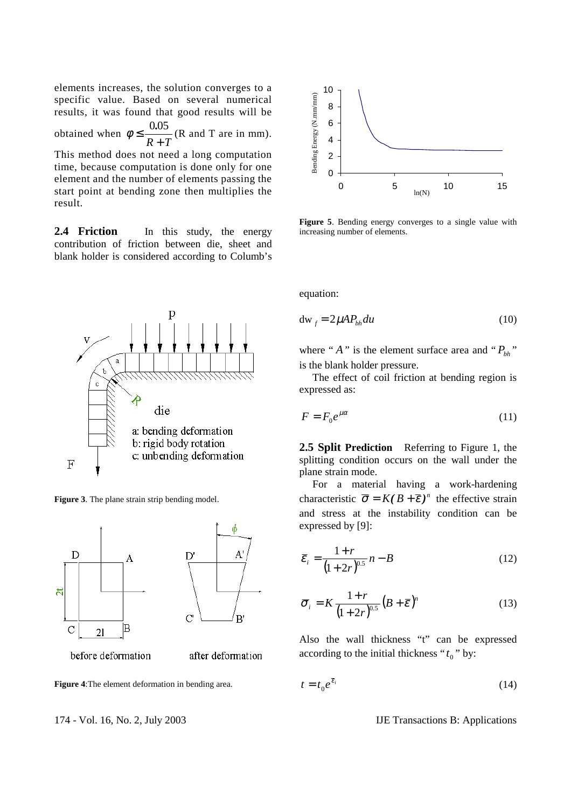elements increases, the solution converges to a specific value. Based on several numerical results, it was found that good results will be obtained when  $\phi \leq$ + 0.05  $\frac{3.65}{R+T}$  (R and T are in mm). This method does not need a long computation time, because computation is done only for one element and the number of elements passing the start point at bending zone then multiplies the result.

**2.4 Friction** In this study, the energy contribution of friction between die, sheet and blank holder is considered according to Columb's





before deformation

after deformation

**Figure 4**:The element deformation in bending area.

174 - Vol. 16, No. 2, July 2003 IJE Transactions B: Applications



**Figure 5**. Bending energy converges to a single value with increasing number of elements.

equation:

$$
dw_f = 2\mu A P_{bh} du
$$
 (10)

where " $A$ " is the element surface area and " $P_{bh}$ " is the blank holder pressure.

 The effect of coil friction at bending region is expressed as:

$$
F = F_0 e^{\mu \alpha} \tag{11}
$$

**2.5 Split Prediction** Referring to Figure 1, the splitting condition occurs on the wall under the plane strain mode.

 For a material having a work-hardening characteristic  $\overline{\sigma} = K (B + \overline{\epsilon})^n$  the effective strain and stress at the instability condition can be expressed by [9]:

$$
\bar{\varepsilon}_{i} = \frac{1+r}{(1+2r)^{0.5}}n - B
$$
\n(12)

$$
\overline{\sigma}_i = K \frac{1+r}{\left(1+2r\right)^{0.5}} \left(B+\overline{\varepsilon}\right)^n \tag{13}
$$

Also the wall thickness "t" can be expressed according to the initial thickness " $t_0$ " by:

$$
t = t_0 e^{\bar{\varepsilon}_i} \tag{14}
$$

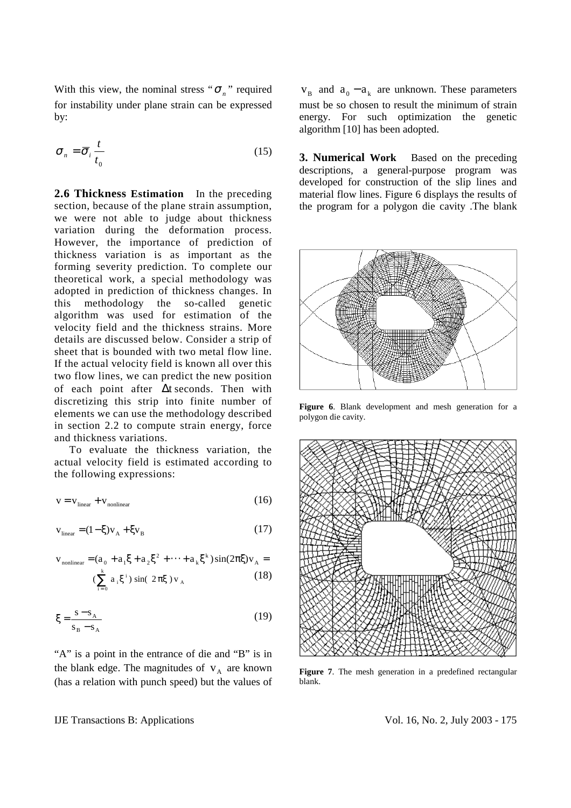With this view, the nominal stress " $\sigma_n$ " required for instability under plane strain can be expressed by:

$$
\sigma_n = \overline{\sigma}_i \frac{t}{t_0} \tag{15}
$$

**2.6 Thickness Estimation** In the preceding section, because of the plane strain assumption, we were not able to judge about thickness variation during the deformation process. However, the importance of prediction of thickness variation is as important as the forming severity prediction. To complete our theoretical work, a special methodology was adopted in prediction of thickness changes. In this methodology the so-called genetic algorithm was used for estimation of the velocity field and the thickness strains. More details are discussed below. Consider a strip of sheet that is bounded with two metal flow line. If the actual velocity field is known all over this two flow lines, we can predict the new position of each point after ∆t seconds. Then with discretizing this strip into finite number of elements we can use the methodology described in section 2.2 to compute strain energy, force and thickness variations.

 To evaluate the thickness variation, the actual velocity field is estimated according to the following expressions:

$$
v = v_{\text{linear}} + v_{\text{nonlinear}} \tag{16}
$$

$$
\mathbf{v}_{\text{linear}} = (1 - \xi)\mathbf{v}_{\text{A}} + \xi\mathbf{v}_{\text{B}}
$$
 (17)

$$
v_{\text{nonlinear}} = (a_0 + a_1 \xi + a_2 \xi^2 + \dots + a_k \xi^k) \sin(2\pi \xi) v_A = (10)
$$

$$
\left(\sum_{i=0}^{k} a_i \xi^i\right) \sin(2\pi\xi) v_A
$$
 (18)

$$
\xi = \frac{s - s_A}{s_B - s_A} \tag{19}
$$

"A" is a point in the entrance of die and "B" is in the blank edge. The magnitudes of  $V_A$  are known (has a relation with punch speed) but the values of

 $V_{\rm B}$  and  $a_0 - a_k$  are unknown. These parameters must be so chosen to result the minimum of strain energy. For such optimization the genetic algorithm [10] has been adopted.

**3. Numerical Work** Based on the preceding descriptions, a general-purpose program was developed for construction of the slip lines and material flow lines. Figure 6 displays the results of the program for a polygon die cavity .The blank



**Figure 6**. Blank development and mesh generation for a polygon die cavity.



**Figure 7**. The mesh generation in a predefined rectangular blank.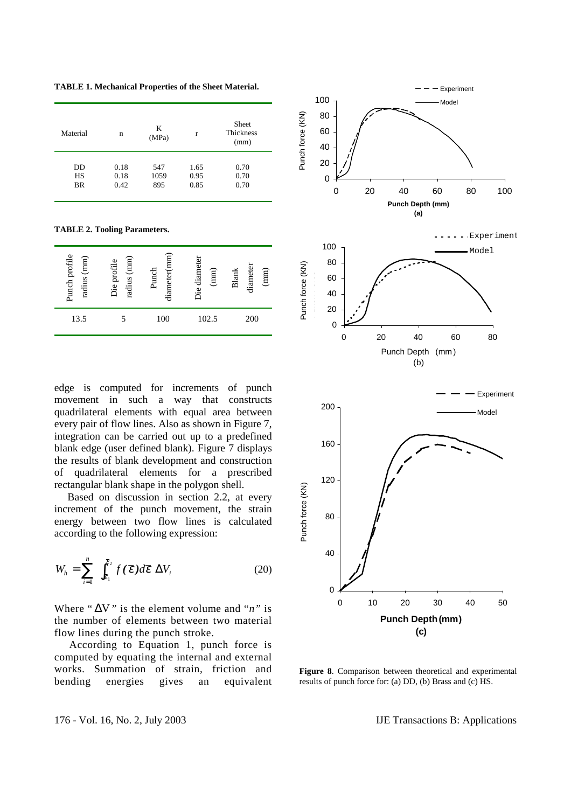**TABLE 1. Mechanical Properties of the Sheet Material.** 

| Material  | n    | K<br>(MPa) | r    | Sheet<br><b>Thickness</b><br>(mm) |
|-----------|------|------------|------|-----------------------------------|
| DD        | 0.18 | 547        | 1.65 | 0.70                              |
| HS        | 0.18 | 1059       | 0.95 | 0.70                              |
| <b>BR</b> | 0.42 | 895        | 0.85 | 0.70                              |

**TABLE 2. Tooling Parameters.** 

| Punch profile<br>radius (mm) | radius (mm)<br>Die profile | diameter(mm)<br>Punch | Die diameter<br>(mm) | diameter<br>(mm)<br><b>Blank</b> |
|------------------------------|----------------------------|-----------------------|----------------------|----------------------------------|
| 13.5                         |                            | 100                   | 102.5                | 200                              |

edge is computed for increments of punch movement in such a way that constructs quadrilateral elements with equal area between every pair of flow lines. Also as shown in Figure 7, integration can be carried out up to a predefined blank edge (user defined blank). Figure 7 displays the results of blank development and construction of quadrilateral elements for a prescribed rectangular blank shape in the polygon shell.

 Based on discussion in section 2.2, at every increment of the punch movement, the strain energy between two flow lines is calculated according to the following expression:

$$
W_h = \sum_{i=1}^n \left[ \int_{\overline{\varepsilon}_1}^{\overline{\varepsilon}_2} f(\overline{\varepsilon}) d\overline{\varepsilon} \right] \Delta V_i
$$
 (20)

Where " $\Delta V$ " is the element volume and "*n*" is the number of elements between two material flow lines during the punch stroke.

 According to Equation 1, punch force is computed by equating the internal and external works. Summation of strain, friction and bending energies gives an equivalent



**Figure 8**. Comparison between theoretical and experimental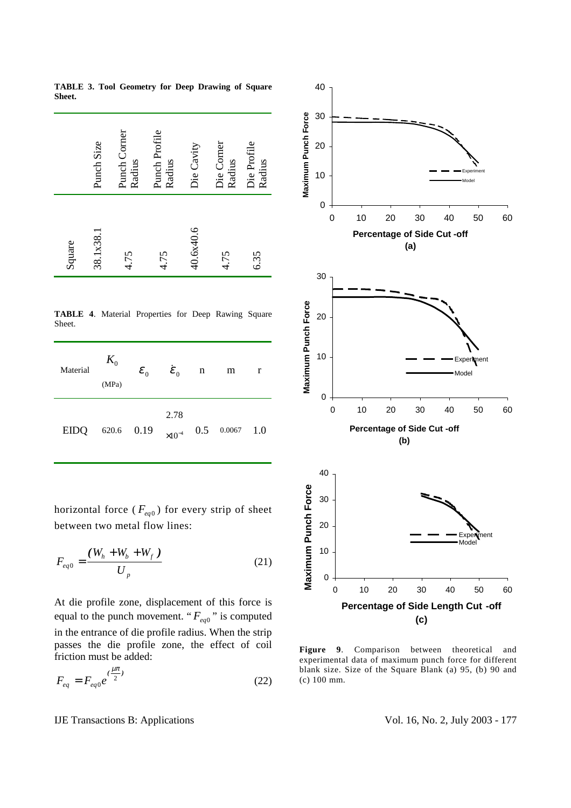|        | Punch Size | Punch Corner<br>Radius | Punch Profile<br>Radius | Die Cavity | Die Corner<br>Radius | Die Profile<br>Radius |
|--------|------------|------------------------|-------------------------|------------|----------------------|-----------------------|
| Square | 38.1x38.1  | 4.75                   | 4.75                    | 40.6x40.6  | 4.75                 | 6.35                  |

**TABLE 3. Tool Geometry for Deep Drawing of Square Sheet.** 

**TABLE 4**. Material Properties for Deep Rawing Square Sheet.

| Material | $K_{0}$<br>(MPa) | $\varepsilon_{_0}$ | $\dot{\boldsymbol{\mathcal{E}}}_0$ | $\mathbf n$ | m                | r |
|----------|------------------|--------------------|------------------------------------|-------------|------------------|---|
| EIDQ     |                  | 620.6 0.19         | 2.78<br>$\times 10^{-4}$           |             | $0.5$ 0.0067 1.0 |   |

horizontal force ( $F_{eq0}$ ) for every strip of sheet between two metal flow lines:

$$
F_{eq0} = \frac{(W_h + W_b + W_f)}{U_p}
$$
 (21)

At die profile zone, displacement of this force is equal to the punch movement. " $F_{eq0}$ " is computed in the entrance of die profile radius. When the strip passes the die profile zone, the effect of coil friction must be added:

$$
F_{eq} = F_{eq0} e^{(\frac{\mu \pi}{2})} \tag{22}
$$

IJE Transactions B: Applications Intervalse vol. 16, No. 2, July 2003 - 177



**Figure 9**. Comparison between theoretical and experimental data of maximum punch force for different blank size. Size of the Square Blank (a) 95, (b) 90 and (c) 100 mm.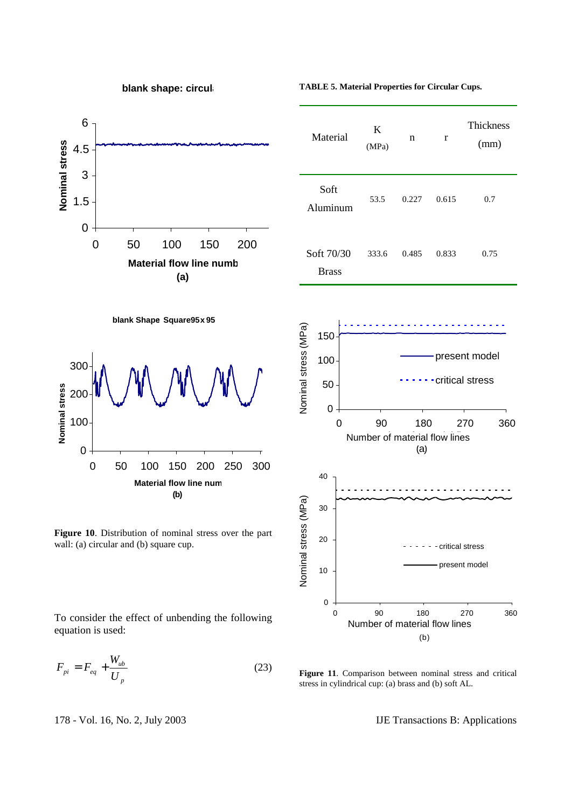

**blank shape: circula**

**TABLE 5. Material Properties for Circular Cups.**

r n

0.227 53.5 0.615 0.7

0.485 333.6 0.833 0.75

Thickness

(mm)

K (MPa)

Material

Soft Aluminum

Soft 70/30 Brass



**blank Shape Square 95 x 95** 



**Figure 10**. Distribution of nominal stress over the part wall: (a) circular and (b) square cup.

To consider the effect of unbending the following equation is used:

$$
F_{pi} = F_{eq} + \frac{W_{ub}}{U_p}
$$
 (23)

**Figure 11**. Comparison between nominal stress and critical

178 - Vol. 16, No. 2, July 2003 IJE Transactions B: Applications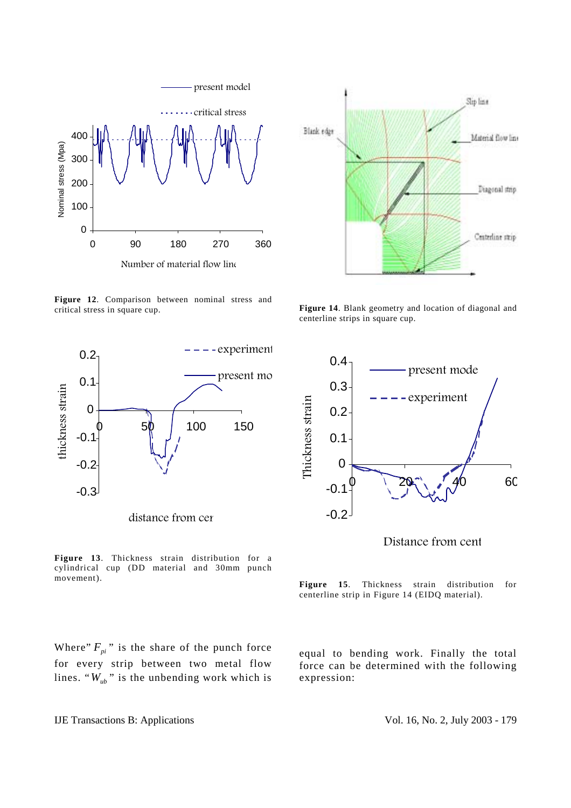

**Figure 12**. Comparison between nominal stress and critical stress in square cup.



distance from cen

**Figure 13**. Thickness strain distribution for a cylindrical cup (DD material and 30mm punch movement).

Where"  $F_{ni}$ " is the share of the punch force for every strip between two metal flow lines. " $W_{ub}$ " is the unbending work which is



**Figure 14**. Blank geometry and location of diagonal and centerline strips in square cup.



Distance from cent

**Figure 15**. Thickness strain distribution for centerline strip in Figure 14 (EIDQ material).

equal to bending work. Finally the total force can be determined with the following expression:

IJE Transactions B: Applications Intervalse vol. 16, No. 2, July 2003 - 179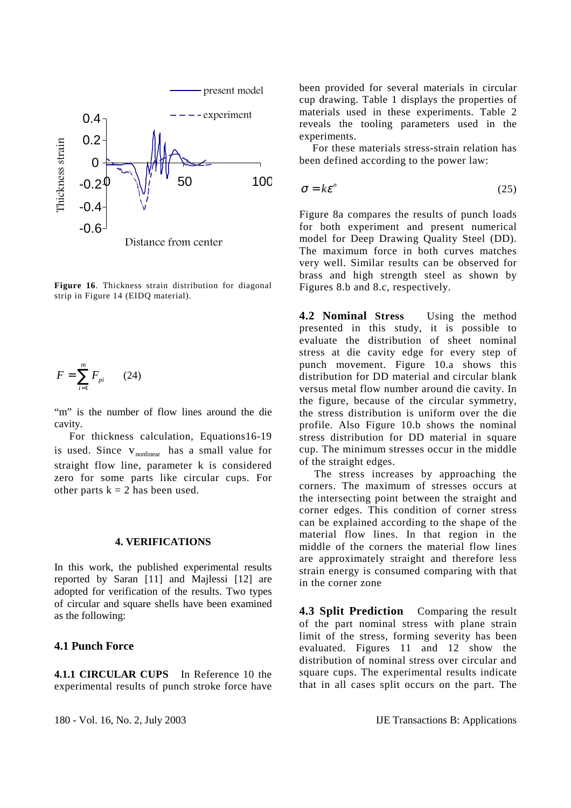

**Figure 16**. Thickness strain distribution for diagonal strip in Figure 14 (EIDQ material).

$$
F = \sum_{i=1}^{m} F_{pi} \qquad (24)
$$

"m" is the number of flow lines around the die cavity.

 For thickness calculation, Equations16-19 is used. Since  $v_{nonlinear}$  has a small value for straight flow line, parameter k is considered zero for some parts like circular cups. For other parts  $k = 2$  has been used.

#### **4. VERIFICATIONS**

In this work, the published experimental results reported by Saran [11] and Majlessi [12] are adopted for verification of the results. Two types of circular and square shells have been examined as the following:

## **4.1 Punch Force**

**4.1.1 CIRCULAR CUPS** In Reference 10 the experimental results of punch stroke force have

been provided for several materials in circular cup drawing. Table 1 displays the properties of materials used in these experiments. Table 2 reveals the tooling parameters used in the experiments.

 For these materials stress-strain relation has been defined according to the power law:

$$
\sigma = k\varepsilon^n \tag{25}
$$

Figure 8a compares the results of punch loads for both experiment and present numerical model for Deep Drawing Quality Steel (DD). The maximum force in both curves matches very well. Similar results can be observed for brass and high strength steel as shown by Figures 8.b and 8.c, respectively.

**4.2 Nominal Stress** Using the method presented in this study, it is possible to evaluate the distribution of sheet nominal stress at die cavity edge for every step of punch movement. Figure 10.a shows this distribution for DD material and circular blank versus metal flow number around die cavity. In the figure, because of the circular symmetry, the stress distribution is uniform over the die profile. Also Figure 10.b shows the nominal stress distribution for DD material in square cup. The minimum stresses occur in the middle of the straight edges.

 The stress increases by approaching the corners. The maximum of stresses occurs at the intersecting point between the straight and corner edges. This condition of corner stress can be explained according to the shape of the material flow lines. In that region in the middle of the corners the material flow lines are approximately straight and therefore less strain energy is consumed comparing with that in the corner zone

**4.3 Split Prediction** Comparing the result of the part nominal stress with plane strain limit of the stress, forming severity has been evaluated. Figures 11 and 12 show the distribution of nominal stress over circular and square cups. The experimental results indicate that in all cases split occurs on the part. The

180 - Vol. 16, No. 2, July 2003 IJE Transactions B: Applications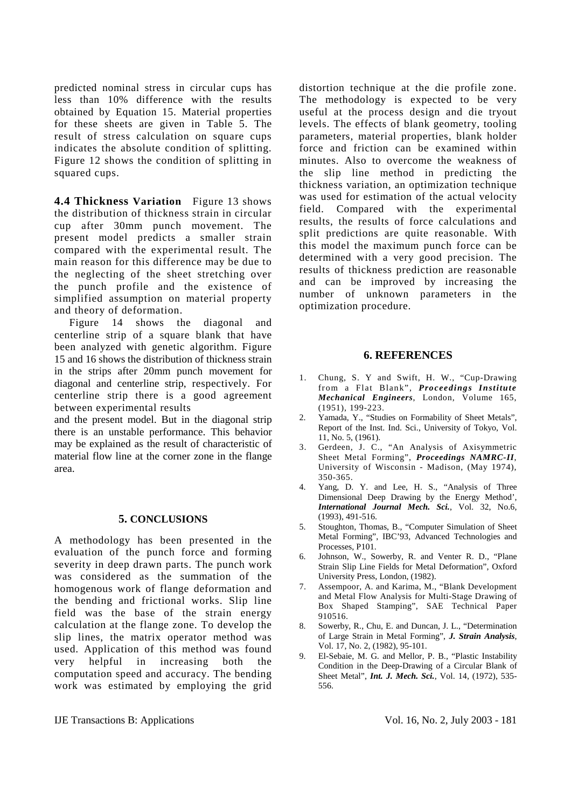predicted nominal stress in circular cups has less than 10% difference with the results obtained by Equation 15. Material properties for these sheets are given in Table 5. The result of stress calculation on square cups indicates the absolute condition of splitting. Figure 12 shows the condition of splitting in squared cups.

**4.4 Thickness Variation** Figure 13 shows the distribution of thickness strain in circular cup after 30mm punch movement. The present model predicts a smaller strain compared with the experimental result. The main reason for this difference may be due to the neglecting of the sheet stretching over the punch profile and the existence of simplified assumption on material property and theory of deformation.

 Figure 14 shows the diagonal and centerline strip of a square blank that have been analyzed with genetic algorithm. Figure 15 and 16 shows the distribution of thickness strain in the strips after 20mm punch movement for diagonal and centerline strip, respectively. For centerline strip there is a good agreement between experimental results

and the present model. But in the diagonal strip there is an unstable performance. This behavior may be explained as the result of characteristic of material flow line at the corner zone in the flange area.

### **5. CONCLUSIONS**

A methodology has been presented in the evaluation of the punch force and forming severity in deep drawn parts. The punch work was considered as the summation of the homogenous work of flange deformation and the bending and frictional works. Slip line field was the base of the strain energy calculation at the flange zone. To develop the slip lines, the matrix operator method was used. Application of this method was found very helpful in increasing both the computation speed and accuracy. The bending work was estimated by employing the grid distortion technique at the die profile zone. The methodology is expected to be very useful at the process design and die tryout levels. The effects of blank geometry, tooling parameters, material properties, blank holder force and friction can be examined within minutes. Also to overcome the weakness of the slip line method in predicting the thickness variation, an optimization technique was used for estimation of the actual velocity field. Compared with the experimental results, the results of force calculations and split predictions are quite reasonable. With this model the maximum punch force can be determined with a very good precision. The results of thickness prediction are reasonable and can be improved by increasing the number of unknown parameters in the optimization procedure.

#### **6. REFERENCES**

- 1. Chung, S. Y and Swift, H. W., "Cup-Drawing from a Flat Blank", *Proceedings Institute Mechanical Engineers*, London, Volume 165, (1951), 199-223.
- 2. Yamada, Y., "Studies on Formability of Sheet Metals", Report of the Inst. Ind. Sci., University of Tokyo, Vol. 11, No. 5, (1961).
- 3. Gerdeen, J. C., "An Analysis of Axisymmetric Sheet Metal Forming", *Proceedings NAMRC-II*, University of Wisconsin - Madison, (May 1974), 350-365.
- 4. Yang, D. Y. and Lee, H. S., "Analysis of Three Dimensional Deep Drawing by the Energy Method', *International Journal Mech. Sci.*, Vol. 32, No.6, (1993), 491-516.
- 5. Stoughton, Thomas, B., "Computer Simulation of Sheet Metal Forming", IBC'93, Advanced Technologies and Processes, P101.
- 6. Johnson, W., Sowerby, R. and Venter R. D., "Plane Strain Slip Line Fields for Metal Deformation", Oxford University Press, London, (1982).
- 7. Assempoor, A. and Karima, M., "Blank Development and Metal Flow Analysis for Multi-Stage Drawing of Box Shaped Stamping", SAE Technical Paper 910516.
- 8. Sowerby, R., Chu, E. and Duncan, J. L., "Determination of Large Strain in Metal Forming", *J. Strain Analysis*, Vol. 17, No. 2, (1982), 95-101.
- 9. El-Sebaie, M. G. and Mellor, P. B., "Plastic Instability Condition in the Deep-Drawing of a Circular Blank of Sheet Metal", *Int. J. Mech. Sci.*, Vol. 14, (1972), 535- 556.

IJE Transactions B: Applications Vol. 16, No. 2, July 2003 - 181